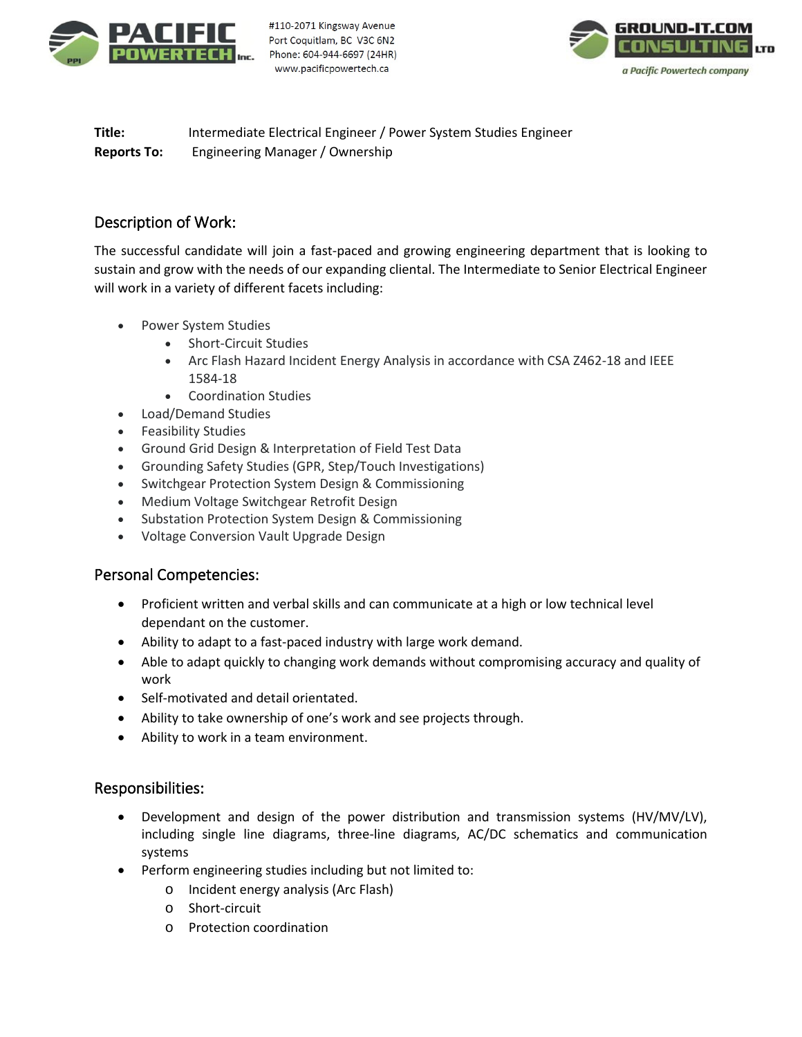

#110-2071 Kingsway Avenue Port Coquitlam, BC V3C 6N2 Phone: 604-944-6697 (24HR) www.pacificpowertech.ca



**Title:** Intermediate Electrical Engineer / Power System Studies Engineer **Reports To:** Engineering Manager / Ownership

## Description of Work:

The successful candidate will join a fast-paced and growing engineering department that is looking to sustain and grow with the needs of our expanding cliental. The Intermediate to Senior Electrical Engineer will work in a variety of different facets including:

- Power System Studies
	- Short-Circuit Studies
	- Arc Flash Hazard Incident Energy Analysis in accordance with CSA Z462-18 and IEEE 1584-18
	- Coordination Studies
- Load/Demand Studies
- Feasibility Studies
- Ground Grid Design & Interpretation of Field Test Data
- Grounding Safety Studies (GPR, Step/Touch Investigations)
- Switchgear Protection System Design & Commissioning
- Medium Voltage Switchgear Retrofit Design
- Substation Protection System Design & Commissioning
- Voltage Conversion Vault Upgrade Design

## Personal Competencies:

- Proficient written and verbal skills and can communicate at a high or low technical level dependant on the customer.
- Ability to adapt to a fast-paced industry with large work demand.
- Able to adapt quickly to changing work demands without compromising accuracy and quality of work
- Self-motivated and detail orientated.
- Ability to take ownership of one's work and see projects through.
- Ability to work in a team environment.

# Responsibilities:

- Development and design of the power distribution and transmission systems (HV/MV/LV), including single line diagrams, three-line diagrams, AC/DC schematics and communication systems
- Perform engineering studies including but not limited to:
	- o Incident energy analysis (Arc Flash)
	- o Short-circuit
	- o Protection coordination